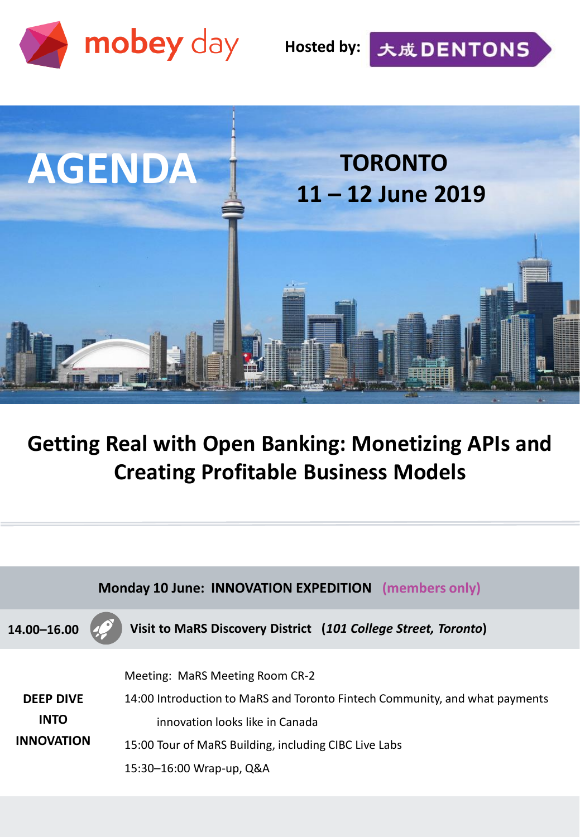

**Hosted by:**

大成DENTONS



## **Getting Real with Open Banking: Monetizing APIs and Creating Profitable Business Models**

| Monday 10 June: INNOVATION EXPEDITION (members only) |                                                                                                                                                                                                                                        |
|------------------------------------------------------|----------------------------------------------------------------------------------------------------------------------------------------------------------------------------------------------------------------------------------------|
| 14.00-16.00                                          | Visit to MaRS Discovery District (101 College Street, Toronto)                                                                                                                                                                         |
| <b>DEEP DIVE</b><br><b>INTO</b><br><b>INNOVATION</b> | Meeting: MaRS Meeting Room CR-2<br>14:00 Introduction to MaRS and Toronto Fintech Community, and what payments<br>innovation looks like in Canada<br>15:00 Tour of MaRS Building, including CIBC Live Labs<br>15:30-16:00 Wrap-up, Q&A |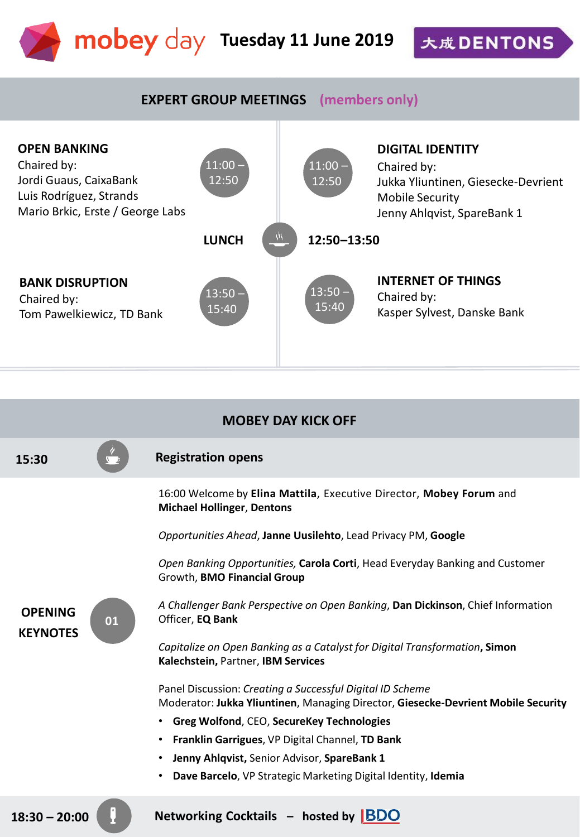

大成DENTONS

## **EXPERT GROUP MEETINGS (members only)**